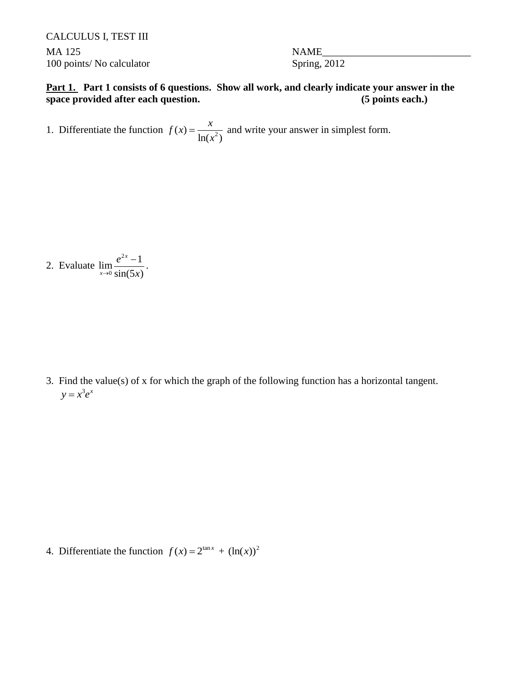CALCULUS I, TEST III MA 125 STRAIN STRAIN NAME 100 points/ No calculator Spring, 2012

**Part 1. Part 1 consists of 6 questions. Show all work, and clearly indicate your answer in the space provided after each question.** (5 points each.)

1. Differentiate the function  $f(x) = \frac{x}{\ln(x^2)}$  $ln(x^2)$  $f(x) = \frac{x}{1+x}$ *x*  $=\frac{\lambda}{\lambda}$  and write your answer in simplest form.

2. Evaluate 2 0  $\lim_{x \to 0} \frac{e^{2x} - 1}{1}$  $sin(5x)$ *x x e*  $\rightarrow 0$  sin(5x)  $\frac{-1}{\sqrt{2}}$ .

3. Find the value(s) of x for which the graph of the following function has a horizontal tangent.  $y = x^3 e^x$ 

4. Differentiate the function  $f(x) = 2^{\tan x} + (\ln(x))^2$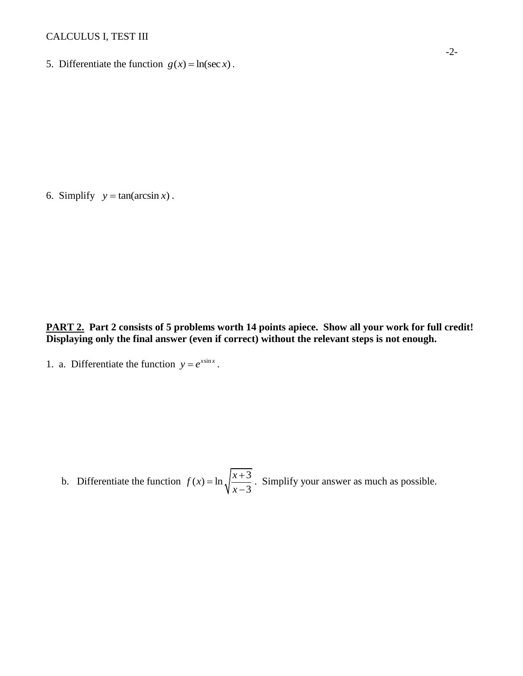## CALCULUS I, TEST III

5. Differentiate the function  $g(x) = \ln(\sec x)$ .

6. Simplify  $y = \tan(\arcsin x)$ .

**PART 2. Part 2 consists of 5 problems worth 14 points apiece. Show all your work for full credit! Displaying only the final answer (even if correct) without the relevant steps is not enough.**

1. a. Differentiate the function  $y = e^{x \sin x}$ .

b. Differentiate the function  $f(x) = \ln \sqrt{\frac{x+3}{x}}$ 3  $f(x) = \ln \sqrt{\frac{x}{x}}$ *x*  $=\ln \sqrt{\frac{x+}{x}}$  $\overline{a}$ . Simplify your answer as much as possible.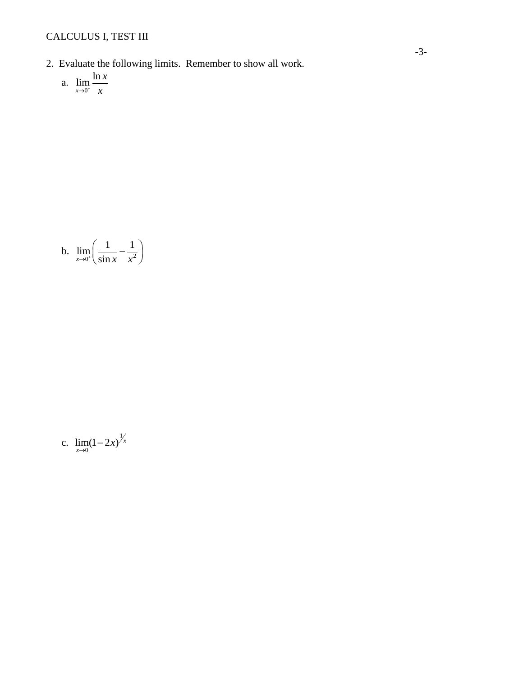- 2. Evaluate the following limits. Remember to show all work.
	- a.  $\lim_{x \to 0^+} \frac{\ln x}{x}$

$$
b. \quad \lim_{x \to 0^+} \left( \frac{1}{\sin x} - \frac{1}{x^2} \right)
$$

c. 
$$
\lim_{x \to 0} (1 - 2x)^{\frac{1}{x}}
$$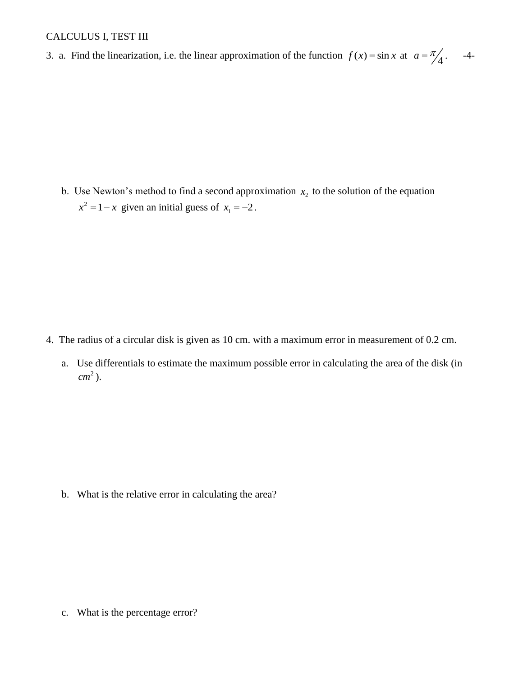## CALCULUS I, TEST III

3. a. Find the linearization, i.e. the linear approximation of the function  $f(x) = \sin x$  at  $a = \frac{\pi}{4}$ . -4-

b. Use Newton's method to find a second approximation  $x<sub>2</sub>$  to the solution of the equation  $x^2 = 1 - x$  given an initial guess of  $x_1 = -2$ .

- 4. The radius of a circular disk is given as 10 cm. with a maximum error in measurement of 0.2 cm.
	- a. Use differentials to estimate the maximum possible error in calculating the area of the disk (in 2 *cm* ).

b. What is the relative error in calculating the area?

c. What is the percentage error?